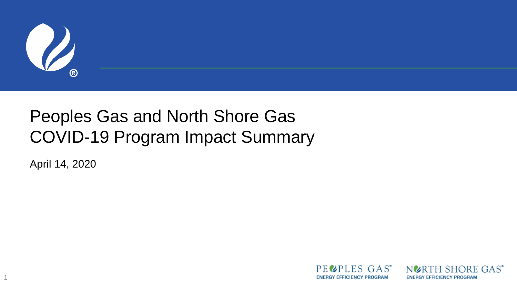

#### Peoples Gas and North Shore Gas COVID-19 Program Impact Summary

April 14, 2020

1



NURTH SHORE GAS<sup>®</sup> **ENERGY EFFICIENCY PROGRAM**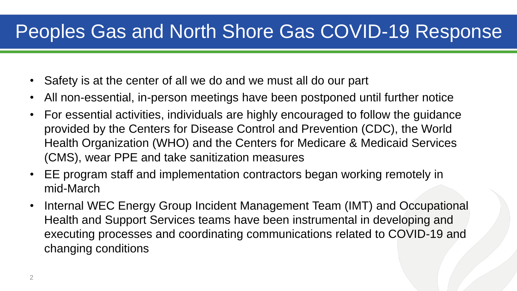#### Peoples Gas and North Shore Gas COVID-19 Response

- Safety is at the center of all we do and we must all do our part
- All non-essential, in-person meetings have been postponed until further notice
- For essential activities, individuals are highly encouraged to follow the guidance provided by the Centers for Disease Control and Prevention (CDC), the World Health Organization (WHO) and the Centers for Medicare & Medicaid Services (CMS), wear PPE and take sanitization measures
- EE program staff and implementation contractors began working remotely in mid-March
- Internal WEC Energy Group Incident Management Team (IMT) and Occupational Health and Support Services teams have been instrumental in developing and executing processes and coordinating communications related to COVID-19 and changing conditions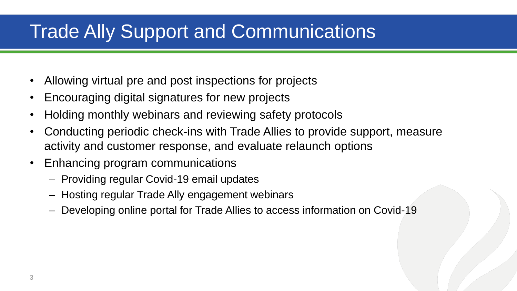## Trade Ally Support and Communications

- Allowing virtual pre and post inspections for projects
- Encouraging digital signatures for new projects
- Holding monthly webinars and reviewing safety protocols
- Conducting periodic check-ins with Trade Allies to provide support, measure activity and customer response, and evaluate relaunch options
- Enhancing program communications
	- Providing regular Covid-19 email updates
	- Hosting regular Trade Ally engagement webinars
	- Developing online portal for Trade Allies to access information on Covid-19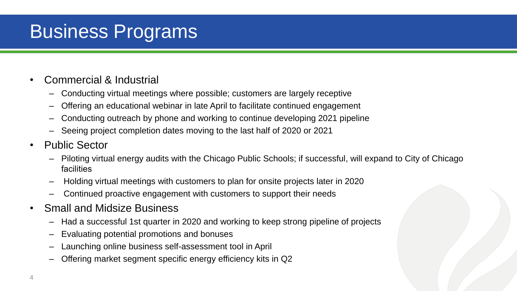## Business Programs

- Commercial & Industrial
	- Conducting virtual meetings where possible; customers are largely receptive
	- Offering an educational webinar in late April to facilitate continued engagement
	- Conducting outreach by phone and working to continue developing 2021 pipeline
	- Seeing project completion dates moving to the last half of 2020 or 2021
- Public Sector
	- Piloting virtual energy audits with the Chicago Public Schools; if successful, will expand to City of Chicago facilities
	- Holding virtual meetings with customers to plan for onsite projects later in 2020
	- Continued proactive engagement with customers to support their needs
- Small and Midsize Business
	- Had a successful 1st quarter in 2020 and working to keep strong pipeline of projects
	- Evaluating potential promotions and bonuses
	- Launching online business self-assessment tool in April
	- Offering market segment specific energy efficiency kits in Q2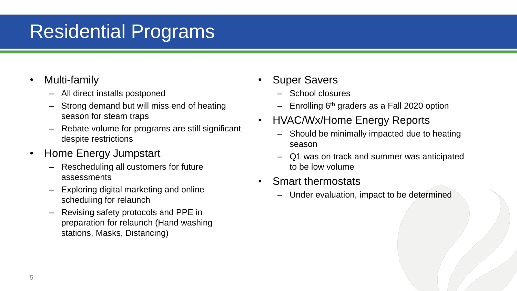## Residential Programs

- Multi-family
	- All direct installs postponed
	- Strong demand but will miss end of heating season for steam traps
	- Rebate volume for programs are still significant despite restrictions
- Home Energy Jumpstart
	- Rescheduling all customers for future assessments
	- Exploring digital marketing and online scheduling for relaunch
	- Revising safety protocols and PPE in preparation for relaunch (Hand washing stations, Masks, Distancing)
- Super Savers
	- School closures
	- $-$  Enrolling 6<sup>th</sup> graders as a Fall 2020 option
- HVAC/Wx/Home Energy Reports
	- Should be minimally impacted due to heating season
	- Q1 was on track and summer was anticipated to be low volume
- Smart thermostats
	- Under evaluation, impact to be determined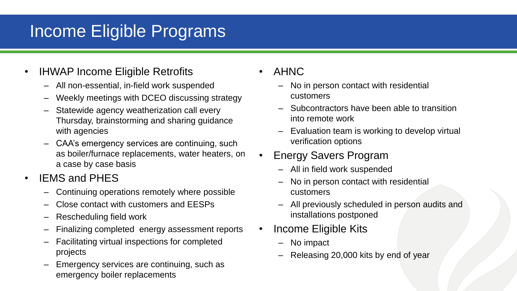#### Income Eligible Programs

- IHWAP Income Eligible Retrofits
	- All non-essential, in-field work suspended
	- Weekly meetings with DCEO discussing strategy
	- Statewide agency weatherization call every Thursday, brainstorming and sharing guidance with agencies
	- CAA's emergency services are continuing, such as boiler/furnace replacements, water heaters, on a case by case basis
- IEMS and PHES
	- Continuing operations remotely where possible
	- Close contact with customers and EESPs
	- Rescheduling field work
	- Finalizing completed energy assessment reports
	- Facilitating virtual inspections for completed projects
	- Emergency services are continuing, such as emergency boiler replacements
- AHNC
	- No in person contact with residential customers
	- Subcontractors have been able to transition into remote work
	- Evaluation team is working to develop virtual verification options
- Energy Savers Program
	- All in field work suspended
	- No in person contact with residential customers
	- All previously scheduled in person audits and installations postponed
- Income Eligible Kits
	- No impact
	- Releasing 20,000 kits by end of year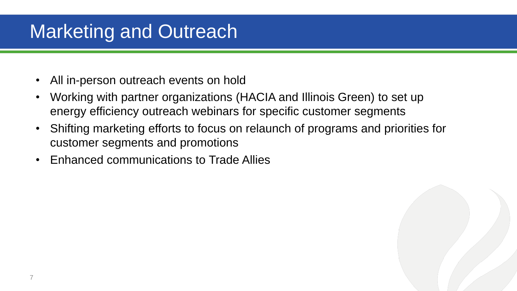# Marketing and Outreach

- All in-person outreach events on hold
- Working with partner organizations (HACIA and Illinois Green) to set up energy efficiency outreach webinars for specific customer segments
- Shifting marketing efforts to focus on relaunch of programs and priorities for customer segments and promotions
- Enhanced communications to Trade Allies